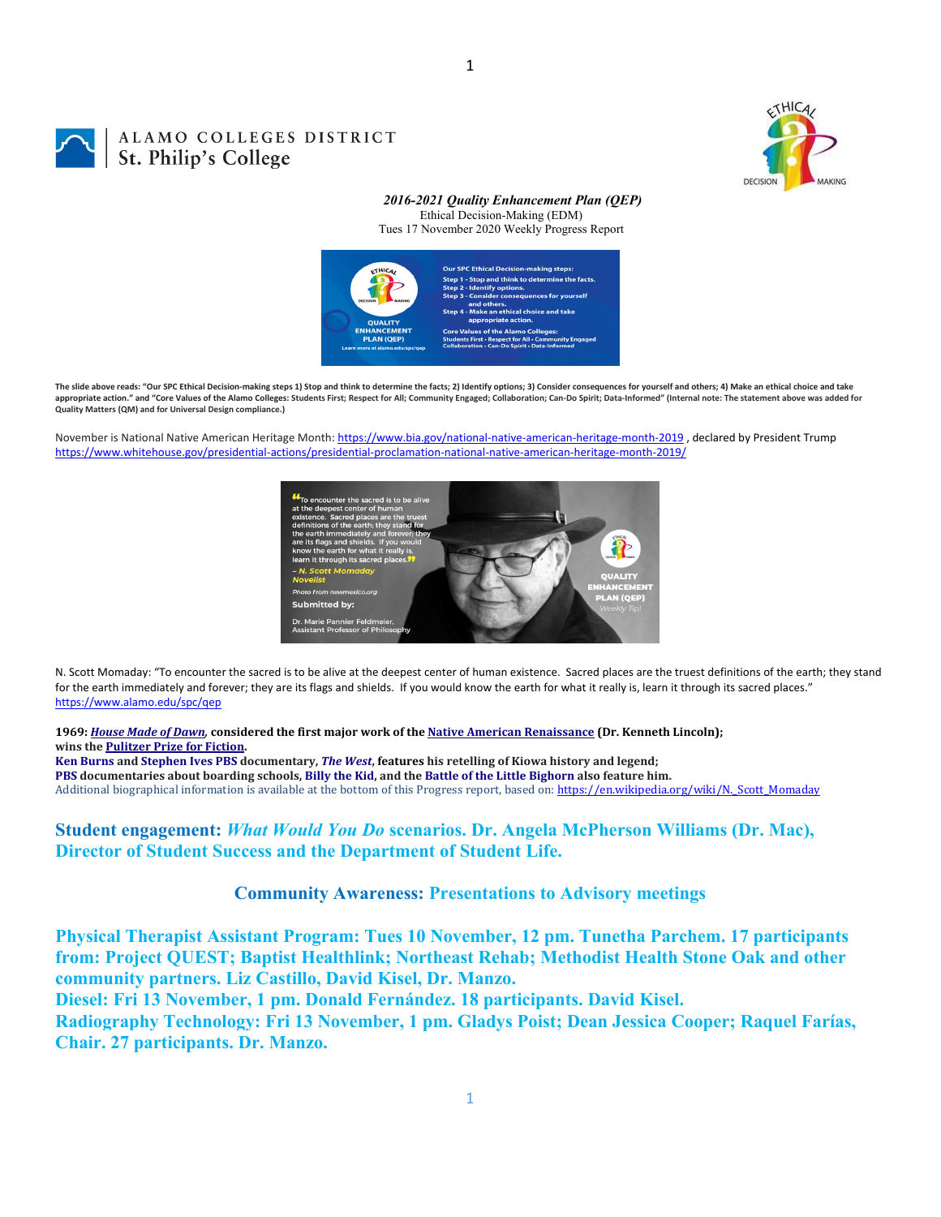

# ALAMO COLLEGES DISTRICT **St. Philip's Colleges**

#### *2016-2021 Quality Enhancement Plan (QEP)* Ethical Decision-Making (EDM)

Tues 17 November 2020 Weekly Progress Report



1

The slide above reads: "Our SPC Ethical Decision-making steps 1) Stop and think to determine the facts: 2) Identify options: 3) Consider consequences for yourself and others: 4) Make an ethical choice and take appropriate action." and "Core Values of the Alamo Colleges: Students First; Respect for All; Community Engaged; Collaboration; Can-Do Spirit; Data-Informed" (Internal note: The statement above was added for **Quality Matters (QM) and for Universal Design compliance.)**

November is National Native American Heritage Month: https://www.bia.gov/national-native-american-heritage-month-2019, declared by President Trump https://www.whitehouse.gov/presidential‐actions/presidential‐proclamation‐national‐native‐american‐heritage‐month‐2019/



N. Scott Momaday: "To encounter the sacred is to be alive at the deepest center of human existence. Sacred places are the truest definitions of the earth; they stand for the earth immediately and forever; they are its flags and shields. If you would know the earth for what it really is, learn it through its sacred places." https://www.alamo.edu/spc/qep

1969: House Made of Dawn, considered the first major work of the Native American Renaissance (Dr. Kenneth Lincoln); **wins the Pulitzer Prize for Fiction.**

Ken Burns and Stephen Ives PBS documentary, The West, features his retelling of Kiowa history and legend; PBS documentaries about boarding schools, Billy the Kid, and the Battle of the Little Bighorn also feature him. Additional biographical information is available at the bottom of this Progress report, based on: https://en.wikipedia.org/wiki/N. Scott Momaday

**Student engagement:** *What Would You Do* **scenarios. Dr. Angela McPherson Williams (Dr. Mac), Director of Student Success and the Department of Student Life.**

**Community Awareness: Presentations to Advisory meetings**

**Physical Therapist Assistant Program: Tues 10 November, 12 pm. Tunetha Parchem. 17 participants from: Project QUEST; Baptist Healthlink; Northeast Rehab; Methodist Health Stone Oak and other community partners. Liz Castillo, David Kisel, Dr. Manzo.** 

**Diesel: Fri 13 November, 1 pm. Donald Fernández. 18 participants. David Kisel.** 

**Radiography Technology: Fri 13 November, 1 pm. Gladys Poist; Dean Jessica Cooper; Raquel Farías, Chair. 27 participants. Dr. Manzo.**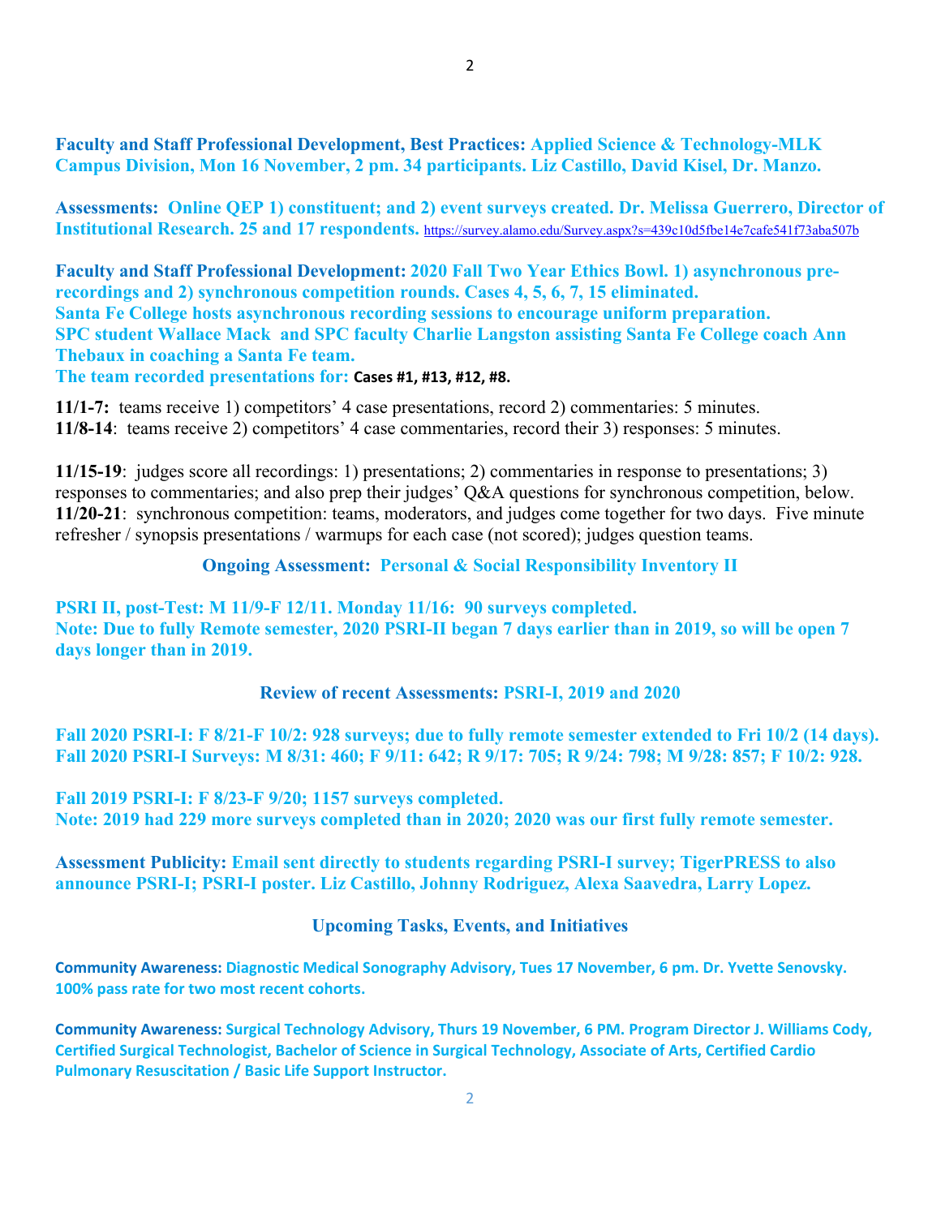**Assessments: Online QEP 1) constituent; and 2) event surveys created. Dr. Melissa Guerrero, Director of Institutional Research. 25 and 17 respondents.** https://survey.alamo.edu/Survey.aspx?s=439c10d5fbe14e7cafe541f73aba507b

**Faculty and Staff Professional Development: 2020 Fall Two Year Ethics Bowl. 1) asynchronous prerecordings and 2) synchronous competition rounds. Cases 4, 5, 6, 7, 15 eliminated. Santa Fe College hosts asynchronous recording sessions to encourage uniform preparation. SPC student Wallace Mack and SPC faculty Charlie Langston assisting Santa Fe College coach Ann Thebaux in coaching a Santa Fe team.** 

**The team recorded presentations for: Cases #1, #13, #12, #8.**

**11/1-7:** teams receive 1) competitors' 4 case presentations, record 2) commentaries: 5 minutes. **11/8-14**: teams receive 2) competitors' 4 case commentaries, record their 3) responses: 5 minutes.

**11/15-19**: judges score all recordings: 1) presentations; 2) commentaries in response to presentations; 3) responses to commentaries; and also prep their judges' Q&A questions for synchronous competition, below. **11/20-21**: synchronous competition: teams, moderators, and judges come together for two days. Five minute refresher / synopsis presentations / warmups for each case (not scored); judges question teams.

## **Ongoing Assessment: Personal & Social Responsibility Inventory II**

**PSRI II, post-Test: M 11/9-F 12/11. Monday 11/16: 90 surveys completed. Note: Due to fully Remote semester, 2020 PSRI-II began 7 days earlier than in 2019, so will be open 7 days longer than in 2019.** 

## **Review of recent Assessments: PSRI-I, 2019 and 2020**

**Fall 2020 PSRI-I: F 8/21-F 10/2: 928 surveys; due to fully remote semester extended to Fri 10/2 (14 days). Fall 2020 PSRI-I Surveys: M 8/31: 460; F 9/11: 642; R 9/17: 705; R 9/24: 798; M 9/28: 857; F 10/2: 928.** 

**Fall 2019 PSRI-I: F 8/23-F 9/20; 1157 surveys completed. Note: 2019 had 229 more surveys completed than in 2020; 2020 was our first fully remote semester.** 

**Assessment Publicity: Email sent directly to students regarding PSRI-I survey; TigerPRESS to also announce PSRI-I; PSRI-I poster. Liz Castillo, Johnny Rodriguez, Alexa Saavedra, Larry Lopez.** 

#### **Upcoming Tasks, Events, and Initiatives**

**Community Awareness: Diagnostic Medical Sonography Advisory, Tues 17 November, 6 pm. Dr. Yvette Senovsky. 100% pass rate for two most recent cohorts.**

**Community Awareness: Surgical Technology Advisory, Thurs 19 November, 6 PM. Program Director J. Williams Cody, Certified Surgical Technologist, Bachelor of Science in Surgical Technology, Associate of Arts, Certified Cardio Pulmonary Resuscitation / Basic Life Support Instructor.**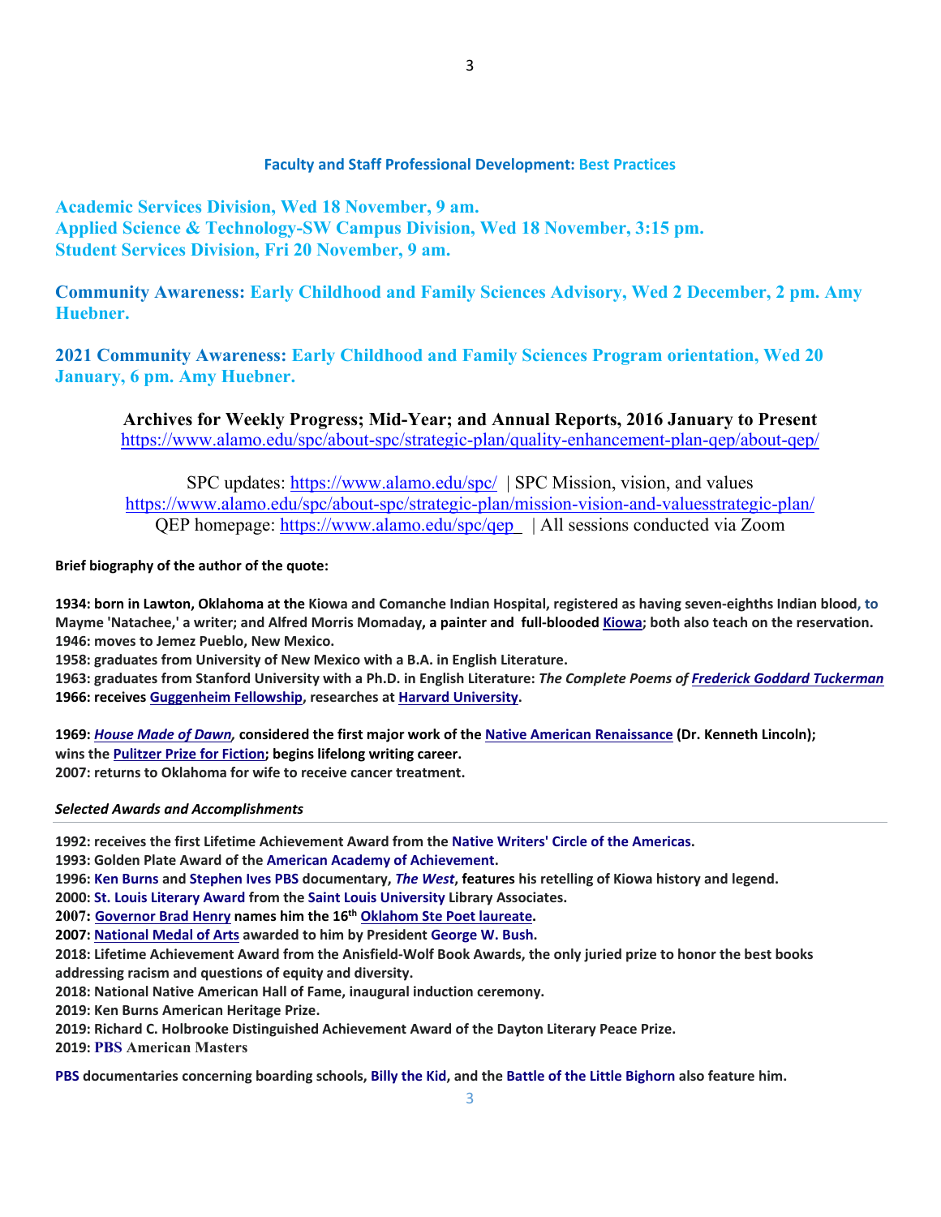#### **Faculty and Staff Professional Development: Best Practices**

**Academic Services Division, Wed 18 November, 9 am. Applied Science & Technology-SW Campus Division, Wed 18 November, 3:15 pm. Student Services Division, Fri 20 November, 9 am.** 

**Community Awareness: Early Childhood and Family Sciences Advisory, Wed 2 December, 2 pm. Amy Huebner.** 

**2021 Community Awareness: Early Childhood and Family Sciences Program orientation, Wed 20 January, 6 pm. Amy Huebner.** 

**Archives for Weekly Progress; Mid-Year; and Annual Reports, 2016 January to Present**  https://www.alamo.edu/spc/about-spc/strategic-plan/quality-enhancement-plan-qep/about-qep/

SPC updates: https://www.alamo.edu/spc/ | SPC Mission, vision, and values https://www.alamo.edu/spc/about-spc/strategic-plan/mission-vision-and-valuesstrategic-plan/ QEP homepage: https://www.alamo.edu/spc/qep | All sessions conducted via Zoom

**Brief biography of the author of the quote:**

1934: born in Lawton, Oklahoma at the Kiowa and Comanche Indian Hospital, registered as having seven-eighths Indian blood, to Mayme 'Natachee,' a writer; and Alfred Morris Momaday, a painter and full-blooded Kiowa; both also teach on the reservation. **1946: moves to Jemez Pueblo, New Mexico.**

**1958: graduates from University of New Mexico with a B.A. in English Literature.** 

1963: graduates from Stanford University with a Ph.D. in English Literature: The Complete Poems of Frederick Goddard Tuckerman **1966: receives Guggenheim Fellowship, researches at Harvard University.**

1969: House Made of Dawn, considered the first major work of the Native American Renaissance (Dr. Kenneth Lincoln); **wins the Pulitzer Prize for Fiction; begins lifelong writing career. 2007: returns to Oklahoma for wife to receive cancer treatment.**

#### *Selected Awards and Accomplishments*

**1992: receives the first Lifetime Achievement Award from the Native Writers' Circle of the Americas.** 

**1993: Golden Plate Award of the American Academy of Achievement.**

1996: Ken Burns and Stephen Ives PBS documentary, The West, features his retelling of Kiowa history and legend.

**2000: St. Louis Literary Award from the Saint Louis University Library Associates.**

**2007: Governor Brad Henry names him the 16th Oklahom Ste Poet laureate.**

**2007: National Medal of Arts awarded to him by President George W. Bush.**

2018: Lifetime Achievement Award from the Anisfield-Wolf Book Awards, the only juried prize to honor the best books **addressing racism and questions of equity and diversity.**

**2018: National Native American Hall of Fame, inaugural induction ceremony.** 

**2019: Ken Burns American Heritage Prize.** 

**2019: Richard C. Holbrooke Distinguished Achievement Award of the Dayton Literary Peace Prize.** 

**2019: PBS American Masters**

PBS documentaries concerning boarding schools, Billy the Kid, and the Battle of the Little Bighorn also feature him.

3